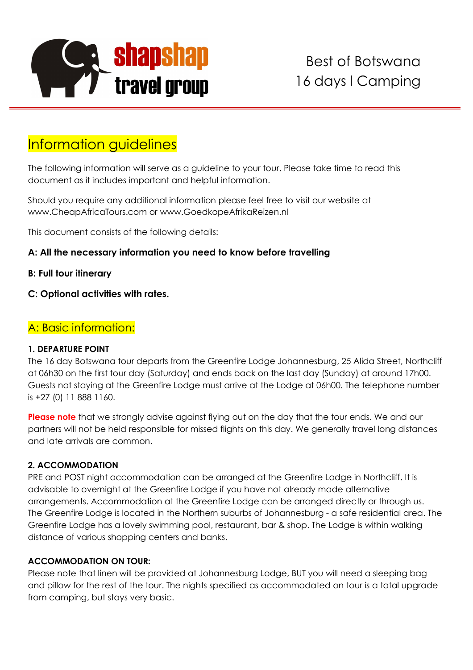

# Information guidelines

The following information will serve as a guideline to your tour. Please take time to read this document as it includes important and helpful information.

Should you require any additional information please feel free to visit our website at www.CheapAfricaTours.com or www.GoedkopeAfrikaReizen.nl

This document consists of the following details:

## **A: All the necessary information you need to know before travelling**

- **B: Full tour itinerary**
- **C: Optional activities with rates.**

# A: Basic information:

#### **1. DEPARTURE POINT**

The 16 day Botswana tour departs from the Greenfire Lodge Johannesburg, 25 Alida Street, Northcliff at 06h30 on the first tour day (Saturday) and ends back on the last day (Sunday) at around 17h00. Guests not staying at the Greenfire Lodge must arrive at the Lodge at 06h00. The telephone number is +27 (0) 11 888 1160.

**Please note** that we strongly advise against flying out on the day that the tour ends. We and our partners will not be held responsible for missed flights on this day. We generally travel long distances and late arrivals are common.

#### **2. ACCOMMODATION**

PRE and POST night accommodation can be arranged at the Greenfire Lodge in Northcliff. It is advisable to overnight at the Greenfire Lodge if you have not already made alternative arrangements. Accommodation at the Greenfire Lodge can be arranged directly or through us. The Greenfire Lodge is located in the Northern suburbs of Johannesburg - a safe residential area. The Greenfire Lodge has a lovely swimming pool, restaurant, bar & shop. The Lodge is within walking distance of various shopping centers and banks.

#### **ACCOMMODATION ON TOUR:**

Please note that linen will be provided at Johannesburg Lodge, BUT you will need a sleeping bag and pillow for the rest of the tour. The nights specified as accommodated on tour is a total upgrade from camping, but stays very basic.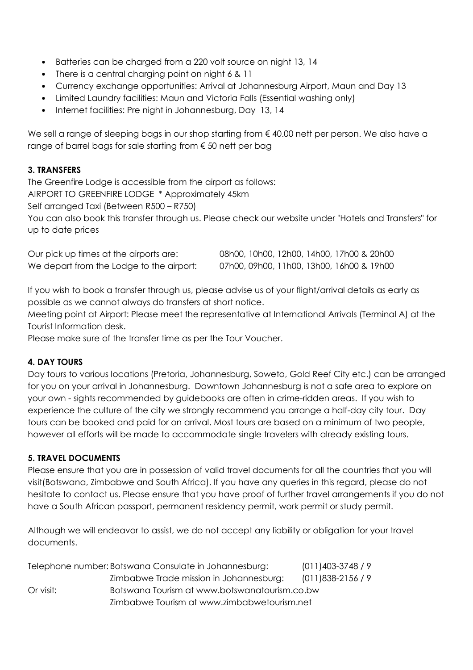- Batteries can be charged from a 220 volt source on night 13, 14
- There is a central charging point on night 6 & 11
- Currency exchange opportunities: Arrival at Johannesburg Airport, Maun and Day 13
- Limited Laundry facilities: Maun and Victoria Falls (Essential washing only)
- Internet facilities: Pre night in Johannesburg, Day 13, 14

We sell a range of sleeping bags in our shop starting from € 40.00 nett per person. We also have a range of barrel bags for sale starting from € 50 nett per bag

#### **3. TRANSFERS**

The Greenfire Lodge is accessible from the airport as follows:

AIRPORT TO GREENFIRE LODGE \* Approximately 45km

Self arranged Taxi (Between R500 – R750)

You can also book this transfer through us. Please check our website under "Hotels and Transfers" for up to date prices

| Our pick up times at the airports are:   | 08h00, 10h00, 12h00, 14h00, 17h00 & 20h00 |
|------------------------------------------|-------------------------------------------|
| We depart from the Lodge to the airport: | 07h00, 09h00, 11h00, 13h00, 16h00 & 19h00 |

If you wish to book a transfer through us, please advise us of your flight/arrival details as early as possible as we cannot always do transfers at short notice.

Meeting point at Airport: Please meet the representative at International Arrivals (Terminal A) at the Tourist Information desk.

Please make sure of the transfer time as per the Tour Voucher.

#### **4. DAY TOURS**

Day tours to various locations (Pretoria, Johannesburg, Soweto, Gold Reef City etc.) can be arranged for you on your arrival in Johannesburg. Downtown Johannesburg is not a safe area to explore on your own - sights recommended by guidebooks are often in crime-ridden areas. If you wish to experience the culture of the city we strongly recommend you arrange a half-day city tour. Day tours can be booked and paid for on arrival. Most tours are based on a minimum of two people, however all efforts will be made to accommodate single travelers with already existing tours.

#### **5. TRAVEL DOCUMENTS**

Please ensure that you are in possession of valid travel documents for all the countries that you will visit(Botswana, Zimbabwe and South Africa). If you have any queries in this regard, please do not hesitate to contact us. Please ensure that you have proof of further travel arrangements if you do not have a South African passport, permanent residency permit, work permit or study permit.

Although we will endeavor to assist, we do not accept any liability or obligation for your travel documents.

|             | Telephone number: Botswana Consulate in Johannesburg: | $(011)403-3748/9$ |
|-------------|-------------------------------------------------------|-------------------|
|             | Zimbabwe Trade mission in Johannesburg:               | $(011)838-2156/9$ |
| $Or$ visit: | Botswana Tourism at www.botswanatourism.co.bw         |                   |
|             | Zimbabwe Tourism at www.zimbabwetourism.net           |                   |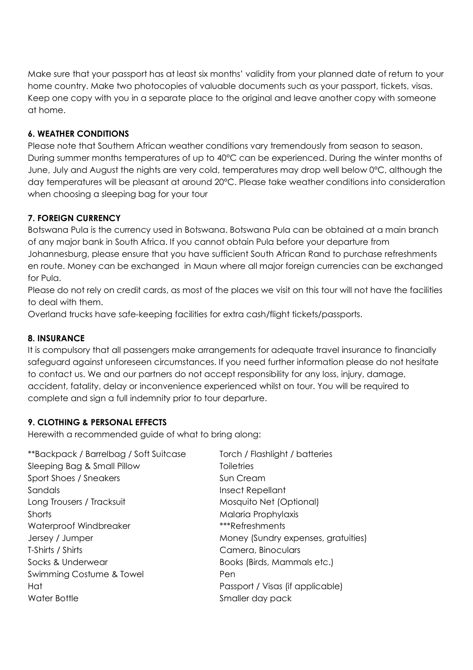Make sure that your passport has at least six months' validity from your planned date of return to your home country. Make two photocopies of valuable documents such as your passport, tickets, visas. Keep one copy with you in a separate place to the original and leave another copy with someone at home.

#### **6. WEATHER CONDITIONS**

Please note that Southern African weather conditions vary tremendously from season to season. During summer months temperatures of up to 40°C can be experienced. During the winter months of June, July and August the nights are very cold, temperatures may drop well below 0°C, although the day temperatures will be pleasant at around 20°C. Please take weather conditions into consideration when choosing a sleeping bag for your tour

#### **7. FOREIGN CURRENCY**

Botswana Pula is the currency used in Botswana. Botswana Pula can be obtained at a main branch of any major bank in South Africa. If you cannot obtain Pula before your departure from Johannesburg, please ensure that you have sufficient South African Rand to purchase refreshments en route. Money can be exchanged in Maun where all major foreign currencies can be exchanged for Pula.

Please do not rely on credit cards, as most of the places we visit on this tour will not have the facilities to deal with them.

Overland trucks have safe-keeping facilities for extra cash/flight tickets/passports.

#### **8. INSURANCE**

It is compulsory that all passengers make arrangements for adequate travel insurance to financially safeguard against unforeseen circumstances. If you need further information please do not hesitate to contact us. We and our partners do not accept responsibility for any loss, injury, damage, accident, fatality, delay or inconvenience experienced whilst on tour. You will be required to complete and sign a full indemnity prior to tour departure.

#### **9. CLOTHING & PERSONAL EFFECTS**

Herewith a recommended guide of what to bring along:

\*\*Backpack / Barrelbag / Soft Suitcase Torch / Flashlight / batteries Sleeping Bag & Small Pillow Toiletries Sport Shoes / Sneakers Sun Cream Sandals **Insect Repellant** Long Trousers / Tracksuit Mosquito Net (Optional) Shorts Malaria Prophylaxis (1996) and Malaria Prophylaxis (1996) and Malaria Prophylaxis (1997) and Malaria Prophylaxis (1997) and Malaria Prophylaxis (1997) and Malaria Prophylaxis (1997) and Malaria Prophylaxis (1997) an Waterproof Windbreaker \*\*\*Refreshments Jersey / Jumper Money (Sundry expenses, gratuities) T-Shirts / Shirts Camera, Binoculars Socks & Underwear **Books (Birds, Mammals etc.)** Swimming Costume & Towel **Pen** Hat Passport / Visas (if applicable) Water Bottle Smaller day pack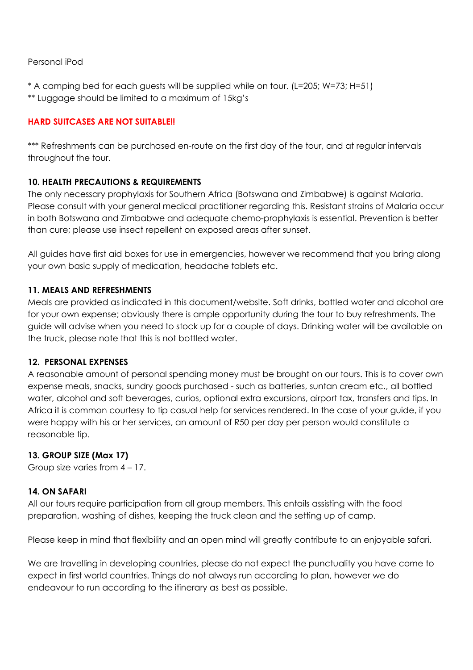#### Personal iPod

\* A camping bed for each guests will be supplied while on tour. (L=205; W=73; H=51) \*\* Luggage should be limited to a maximum of 15kg's

#### **HARD SUITCASES ARE NOT SUITABLE!!**

\*\*\* Refreshments can be purchased en-route on the first day of the tour, and at regular intervals throughout the tour.

#### **10. HEALTH PRECAUTIONS & REQUIREMENTS**

The only necessary prophylaxis for Southern Africa (Botswana and Zimbabwe) is against Malaria. Please consult with your general medical practitioner regarding this. Resistant strains of Malaria occur in both Botswana and Zimbabwe and adequate chemo-prophylaxis is essential. Prevention is better than cure; please use insect repellent on exposed areas after sunset.

All guides have first aid boxes for use in emergencies, however we recommend that you bring along your own basic supply of medication, headache tablets etc.

#### **11. MEALS AND REFRESHMENTS**

Meals are provided as indicated in this document/website. Soft drinks, bottled water and alcohol are for your own expense; obviously there is ample opportunity during the tour to buy refreshments. The guide will advise when you need to stock up for a couple of days. Drinking water will be available on the truck, please note that this is not bottled water.

#### **12. PERSONAL EXPENSES**

A reasonable amount of personal spending money must be brought on our tours. This is to cover own expense meals, snacks, sundry goods purchased - such as batteries, suntan cream etc., all bottled water, alcohol and soft beverages, curios, optional extra excursions, airport tax, transfers and tips. In Africa it is common courtesy to tip casual help for services rendered. In the case of your guide, if you were happy with his or her services, an amount of R50 per day per person would constitute a reasonable tip.

#### **13. GROUP SIZE (Max 17)**

Group size varies from 4 – 17.

#### **14. ON SAFARI**

All our tours require participation from all group members. This entails assisting with the food preparation, washing of dishes, keeping the truck clean and the setting up of camp.

Please keep in mind that flexibility and an open mind will greatly contribute to an enjoyable safari.

We are travelling in developing countries, please do not expect the punctuality you have come to expect in first world countries. Things do not always run according to plan, however we do endeavour to run according to the itinerary as best as possible.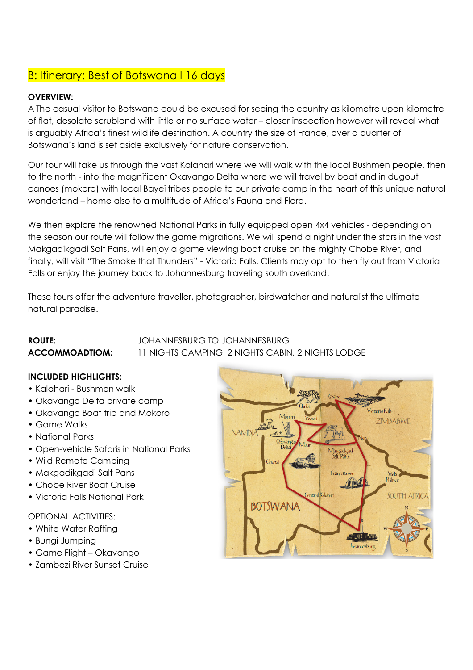# B: Itinerary: Best of Botswana I 16 days

#### **OVERVIEW:**

A The casual visitor to Botswana could be excused for seeing the country as kilometre upon kilometre of flat, desolate scrubland with little or no surface water – closer inspection however will reveal what is arguably Africa's finest wildlife destination. A country the size of France, over a quarter of Botswana's land is set aside exclusively for nature conservation.

Our tour will take us through the vast Kalahari where we will walk with the local Bushmen people, then to the north - into the magnificent Okavango Delta where we will travel by boat and in dugout canoes (mokoro) with local Bayei tribes people to our private camp in the heart of this unique natural wonderland – home also to a multitude of Africa's Fauna and Flora.

We then explore the renowned National Parks in fully equipped open 4x4 vehicles - depending on the season our route will follow the game migrations. We will spend a night under the stars in the vast Makgadikgadi Salt Pans, will enjoy a game viewing boat cruise on the mighty Chobe River, and finally, will visit "The Smoke that Thunders" - Victoria Falls. Clients may opt to then fly out from Victoria Falls or enjoy the journey back to Johannesburg traveling south overland.

These tours offer the adventure traveller, photographer, birdwatcher and naturalist the ultimate natural paradise.

## **ROUTE:** JOHANNESBURG TO JOHANNESBURG **ACCOMMOADTIOM:** 11 NIGHTS CAMPING, 2 NIGHTS CABIN, 2 NIGHTS LODGE

#### **INCLUDED HIGHLIGHTS:**

- Kalahari Bushmen walk
- Okavango Delta private camp
- Okavango Boat trip and Mokoro
- Game Walks
- National Parks
- Open-vehicle Safaris in National Parks
- Wild Remote Camping
- Makgadikgadi Salt Pans
- Chobe River Boat Cruise
- Victoria Falls National Park

#### OPTIONAL ACTIVITIES:

- White Water Rafting
- Bungi Jumping
- Game Flight Okavango
- Zambezi River Sunset Cruise

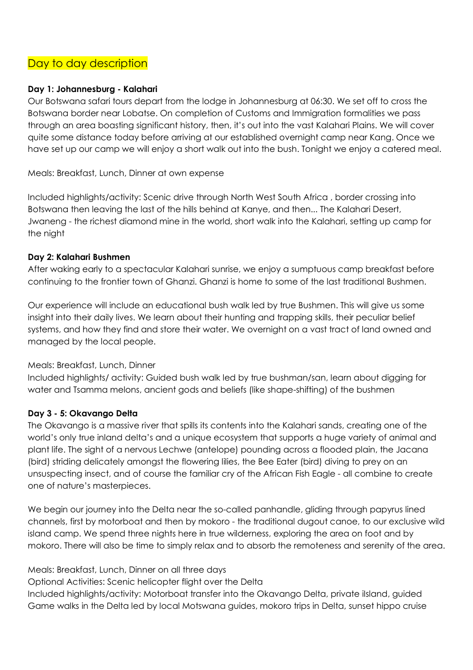# Day to day description

#### **Day 1: Johannesburg - Kalahari**

Our Botswana safari tours depart from the lodge in Johannesburg at 06:30. We set off to cross the Botswana border near Lobatse. On completion of Customs and Immigration formalities we pass through an area boasting significant history, then, it's out into the vast Kalahari Plains. We will cover quite some distance today before arriving at our established overnight camp near Kang. Once we have set up our camp we will enjoy a short walk out into the bush. Tonight we enjoy a catered meal.

Meals: Breakfast, Lunch, Dinner at own expense

Included highlights/activity: Scenic drive through North West South Africa , border crossing into Botswana then leaving the last of the hills behind at Kanye, and then... The Kalahari Desert, Jwaneng - the richest diamond mine in the world, short walk into the Kalahari, setting up camp for the night

#### **Day 2: Kalahari Bushmen**

After waking early to a spectacular Kalahari sunrise, we enjoy a sumptuous camp breakfast before continuing to the frontier town of Ghanzi. Ghanzi is home to some of the last traditional Bushmen.

Our experience will include an educational bush walk led by true Bushmen. This will give us some insight into their daily lives. We learn about their hunting and trapping skills, their peculiar belief systems, and how they find and store their water. We overnight on a vast tract of land owned and managed by the local people.

#### Meals: Breakfast, Lunch, Dinner

Included highlights/ activity: Guided bush walk led by true bushman/san, learn about digging for water and Tsamma melons, ancient gods and beliefs (like shape-shifting) of the bushmen

#### **Day 3 - 5: Okavango Delta**

The Okavango is a massive river that spills its contents into the Kalahari sands, creating one of the world's only true inland delta's and a unique ecosystem that supports a huge variety of animal and plant life. The sight of a nervous Lechwe (antelope) pounding across a flooded plain, the Jacana (bird) striding delicately amongst the flowering lilies, the Bee Eater (bird) diving to prey on an unsuspecting insect, and of course the familiar cry of the African Fish Eagle - all combine to create one of nature's masterpieces.

We begin our journey into the Delta near the so-called panhandle, gliding through papyrus lined channels, first by motorboat and then by mokoro - the traditional dugout canoe, to our exclusive wild island camp. We spend three nights here in true wilderness, exploring the area on foot and by mokoro. There will also be time to simply relax and to absorb the remoteness and serenity of the area.

Meals: Breakfast, Lunch, Dinner on all three days Optional Activities: Scenic helicopter flight over the Delta Included highlights/activity: Motorboat transfer into the Okavango Delta, private iIsland, guided Game walks in the Delta led by local Motswana guides, mokoro trips in Delta, sunset hippo cruise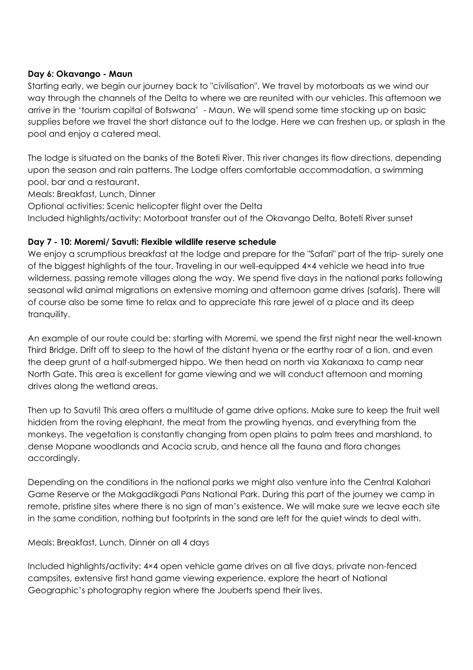#### **Day 6: Okavango - Maun**

Starting early, we begin our journey back to "civilisation". We travel by motorboats as we wind our way through the channels of the Delta to where we are reunited with our vehicles. This afternoon we arrive in the 'tourism capital of Botswana' - Maun. We will spend some time stocking up on basic supplies before we travel the short distance out to the lodge. Here we can freshen up, or splash in the pool and enjoy a catered meal.

The lodge is situated on the banks of the Boteti River. This river changes its flow directions, depending upon the season and rain patterns. The Lodge offers comfortable accommodation, a swimming pool, bar and a restaurant.

Meals: Breakfast, Lunch, Dinner

Optional activities: Scenic helicopter flight over the Delta

Included highlights/activity: Motorboat transfer out of the Okavango Delta, Boteti River sunset

#### **Day 7 - 10: Moremi/ Savuti: Flexible wildlife reserve schedule**

We enjoy a scrumptious breakfast at the lodge and prepare for the "Safari" part of the trip- surely one of the biggest highlights of the tour. Traveling in our well-equipped 4×4 vehicle we head into true wilderness, passing remote villages along the way. We spend five days in the national parks following seasonal wild animal migrations on extensive morning and afternoon game drives (safaris). There will of course also be some time to relax and to appreciate this rare jewel of a place and its deep tranquility.

An example of our route could be: starting with Moremi, we spend the first night near the well-known Third Bridge. Drift off to sleep to the howl of the distant hyena or the earthy roar of a lion, and even the deep grunt of a half-submerged hippo. We then head on north via Xakanaxa to camp near North Gate. This area is excellent for game viewing and we will conduct afternoon and morning drives along the wetland areas.

Then up to Savuti! This area offers a multitude of game drive options. Make sure to keep the fruit well hidden from the roving elephant, the meat from the prowling hyenas, and everything from the monkeys. The vegetation is constantly changing from open plains to palm trees and marshland, to dense Mopane woodlands and Acacia scrub, and hence all the fauna and flora changes accordingly.

Depending on the conditions in the national parks we might also venture into the Central Kalahari Game Reserve or the Makgadikgadi Pans National Park. During this part of the journey we camp in remote, pristine sites where there is no sign of man's existence. We will make sure we leave each site in the same condition, nothing but footprints in the sand are left for the quiet winds to deal with.

Meals: Breakfast, Lunch, Dinner on all 4 days

Included highlights/activity: 4×4 open vehicle game drives on all five days, private non-fenced campsites, extensive first hand game viewing experience, explore the heart of National Geographic's photography region where the Jouberts spend their lives.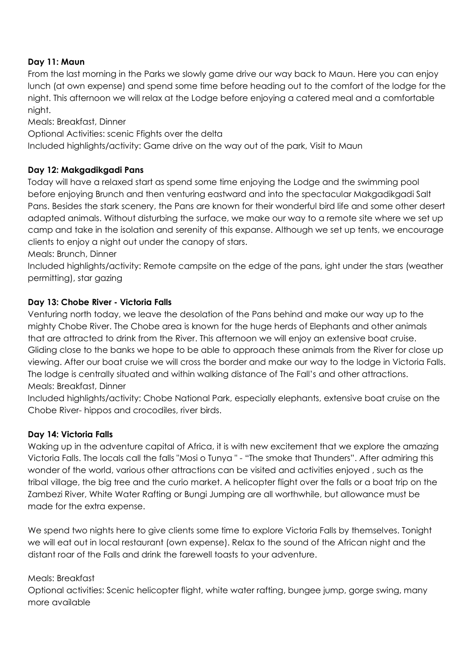#### **Day 11: Maun**

From the last morning in the Parks we slowly game drive our way back to Maun. Here you can enjoy lunch (at own expense) and spend some time before heading out to the comfort of the lodge for the night. This afternoon we will relax at the Lodge before enjoying a catered meal and a comfortable night.

Meals: Breakfast, Dinner

Optional Activities: scenic Ffights over the delta

Included highlights/activity: Game drive on the way out of the park, Visit to Maun

#### **Day 12: Makgadikgadi Pans**

Today will have a relaxed start as spend some time enjoying the Lodge and the swimming pool before enjoying Brunch and then venturing eastward and into the spectacular Makgadikgadi Salt Pans. Besides the stark scenery, the Pans are known for their wonderful bird life and some other desert adapted animals. Without disturbing the surface, we make our way to a remote site where we set up camp and take in the isolation and serenity of this expanse. Although we set up tents, we encourage clients to enjoy a night out under the canopy of stars.

Meals: Brunch, Dinner

Included highlights/activity: Remote campsite on the edge of the pans, ight under the stars (weather permitting), star gazing

#### **Day 13: Chobe River - Victoria Falls**

Venturing north today, we leave the desolation of the Pans behind and make our way up to the mighty Chobe River. The Chobe area is known for the huge herds of Elephants and other animals that are attracted to drink from the River. This afternoon we will enjoy an extensive boat cruise. Gliding close to the banks we hope to be able to approach these animals from the River for close up viewing. After our boat cruise we will cross the border and make our way to the lodge in Victoria Falls. The lodge is centrally situated and within walking distance of The Fall's and other attractions. Meals: Breakfast, Dinner

Included highlights/activity: Chobe National Park, especially elephants, extensive boat cruise on the Chobe River- hippos and crocodiles, river birds.

#### **Day 14: Victoria Falls**

Waking up in the adventure capital of Africa, it is with new excitement that we explore the amazing Victoria Falls. The locals call the falls "Mosi o Tunya " - "The smoke that Thunders". After admiring this wonder of the world, various other attractions can be visited and activities enjoyed , such as the tribal village, the big tree and the curio market. A helicopter flight over the falls or a boat trip on the Zambezi River, White Water Rafting or Bungi Jumping are all worthwhile, but allowance must be made for the extra expense.

We spend two nights here to give clients some time to explore Victoria Falls by themselves. Tonight we will eat out in local restaurant (own expense). Relax to the sound of the African night and the distant roar of the Falls and drink the farewell toasts to your adventure.

#### Meals: Breakfast

Optional activities: Scenic helicopter flight, white water rafting, bungee jump, gorge swing, many more available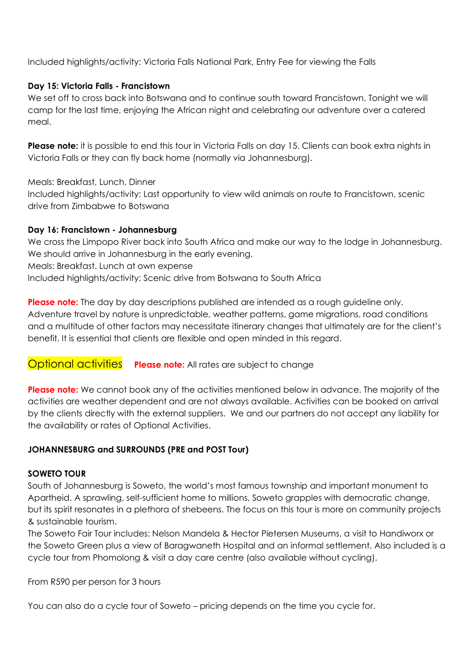Included highlights/activity: Victoria Falls National Park, Entry Fee for viewing the Falls

#### **Day 15: Victoria Falls - Francistown**

We set off to cross back into Botswana and to continue south toward Francistown. Tonight we will camp for the last time, enjoying the African night and celebrating our adventure over a catered meal.

**Please note:** it is possible to end this tour in Victoria Falls on day 15. Clients can book extra nights in Victoria Falls or they can fly back home (normally via Johannesburg).

Meals: Breakfast, Lunch, Dinner Included highlights/activity: Last opportunity to view wild animals on route to Francistown, scenic drive from Zimbabwe to Botswana

#### **Day 16: Francistown - Johannesburg**

We cross the Limpopo River back into South Africa and make our way to the lodge in Johannesburg. We should arrive in Johannesburg in the early evening. Meals: Breakfast. Lunch at own expense

Included highlights/activity: Scenic drive from Botswana to South Africa

**Please note:** The day by day descriptions published are intended as a rough guideline only. Adventure travel by nature is unpredictable, weather patterns, game migrations, road conditions and a multitude of other factors may necessitate itinerary changes that ultimately are for the client's benefit. It is essential that clients are flexible and open minded in this regard.

#### **Optional activities Please note:** All rates are subject to change

**Please note:** We cannot book any of the activities mentioned below in advance. The majority of the activities are weather dependent and are not always available. Activities can be booked on arrival by the clients directly with the external suppliers. We and our partners do not accept any liability for the availability or rates of Optional Activities.

#### **JOHANNESBURG and SURROUNDS (PRE and POST Tour)**

#### **SOWETO TOUR**

South of Johannesburg is Soweto, the world's most famous township and important monument to Apartheid. A sprawling, self-sufficient home to millions, Soweto grapples with democratic change, but its spirit resonates in a plethora of shebeens. The focus on this tour is more on community projects & sustainable tourism.

The Soweto Fair Tour includes: Nelson Mandela & Hector Pietersen Museums, a visit to Handiworx or the Soweto Green plus a view of Baragwaneth Hospital and an informal settlement. Also included is a cycle tour from Phomolong & visit a day care centre (also available without cycling).

From R590 per person for 3 hours

You can also do a cycle tour of Soweto – pricing depends on the time you cycle for.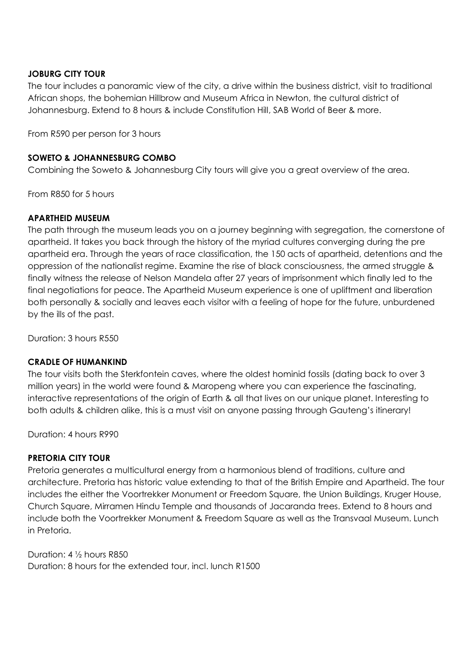#### **JOBURG CITY TOUR**

The tour includes a panoramic view of the city, a drive within the business district, visit to traditional African shops, the bohemian Hillbrow and Museum Africa in Newton, the cultural district of Johannesburg. Extend to 8 hours & include Constitution Hill, SAB World of Beer & more.

From R590 per person for 3 hours

#### **SOWETO & JOHANNESBURG COMBO**

Combining the Soweto & Johannesburg City tours will give you a great overview of the area.

From R850 for 5 hours

#### **APARTHEID MUSEUM**

The path through the museum leads you on a journey beginning with segregation, the cornerstone of apartheid. It takes you back through the history of the myriad cultures converging during the pre apartheid era. Through the years of race classification, the 150 acts of apartheid, detentions and the oppression of the nationalist regime. Examine the rise of black consciousness, the armed struggle & finally witness the release of Nelson Mandela after 27 years of imprisonment which finally led to the final negotiations for peace. The Apartheid Museum experience is one of upliftment and liberation both personally & socially and leaves each visitor with a feeling of hope for the future, unburdened by the ills of the past.

Duration: 3 hours R550

#### **CRADLE OF HUMANKIND**

The tour visits both the Sterkfontein caves, where the oldest hominid fossils (dating back to over 3 million years) in the world were found & Maropeng where you can experience the fascinating, interactive representations of the origin of Earth & all that lives on our unique planet. Interesting to both adults & children alike, this is a must visit on anyone passing through Gauteng's itinerary!

Duration: 4 hours R990

#### **PRETORIA CITY TOUR**

Pretoria generates a multicultural energy from a harmonious blend of traditions, culture and architecture. Pretoria has historic value extending to that of the British Empire and Apartheid. The tour includes the either the Voortrekker Monument or Freedom Square, the Union Buildings, Kruger House, Church Square, Mirramen Hindu Temple and thousands of Jacaranda trees. Extend to 8 hours and include both the Voortrekker Monument & Freedom Square as well as the Transvaal Museum. Lunch in Pretoria.

Duration: 4 ½ hours R850 Duration: 8 hours for the extended tour, incl. lunch R1500